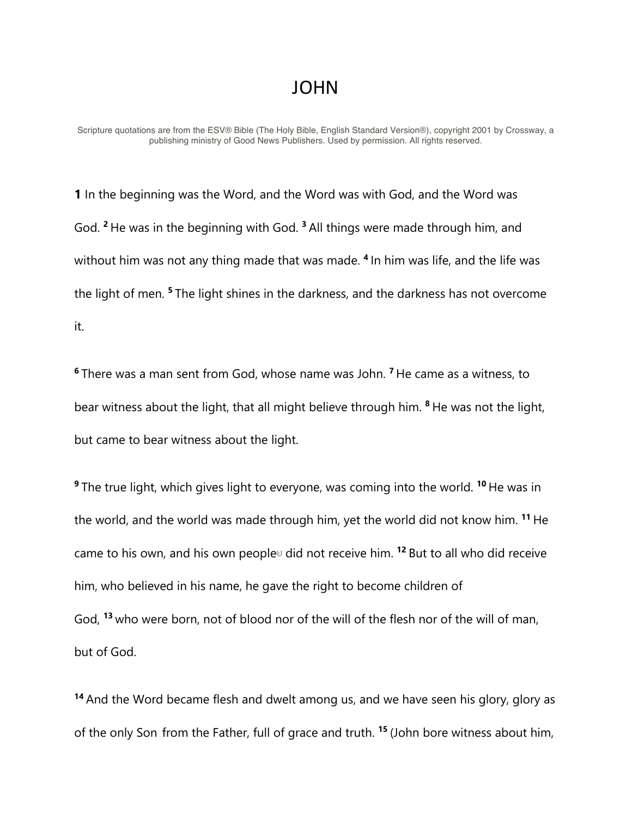## JOHN

Scripture quotations are from the ESV® Bible (The Holy Bible, English Standard Version®), copyright 2001 by Crossway, a publishing ministry of Good News Publishers. Used by permission. All rights reserved.

**1** In the beginning was the Word, and the Word was with God, and the Word was God. **<sup>2</sup>** He was in the beginning with God. **<sup>3</sup>** All things were made through him, and without him was not any thing made that was made. **<sup>4</sup>** In him was life, and the life was the light of men. **<sup>5</sup>** The light shines in the darkness, and the darkness has not overcome it.

**<sup>6</sup>** There was a man sent from God, whose name was John. **<sup>7</sup>** He came as a witness, to bear witness about the light, that all might believe through him. **<sup>8</sup>** He was not the light, but came to bear witness about the light.

**<sup>9</sup>** The true light, which gives light to everyone, was coming into the world. **<sup>10</sup>** He was in the world, and the world was made through him, yet the world did not know him. **<sup>11</sup>** He came to his own, and his own people<sup>[c]</sup> did not receive him. <sup>12</sup> But to all who did receive him, who believed in his name, he gave the right to become children of God, **<sup>13</sup>** who were born, not of blood nor of the will of the flesh nor of the will of man, but of God.

**<sup>14</sup>** And the Word became flesh and dwelt among us, and we have seen his glory, glory as of the only Son from the Father, full of grace and truth. **<sup>15</sup>** (John bore witness about him,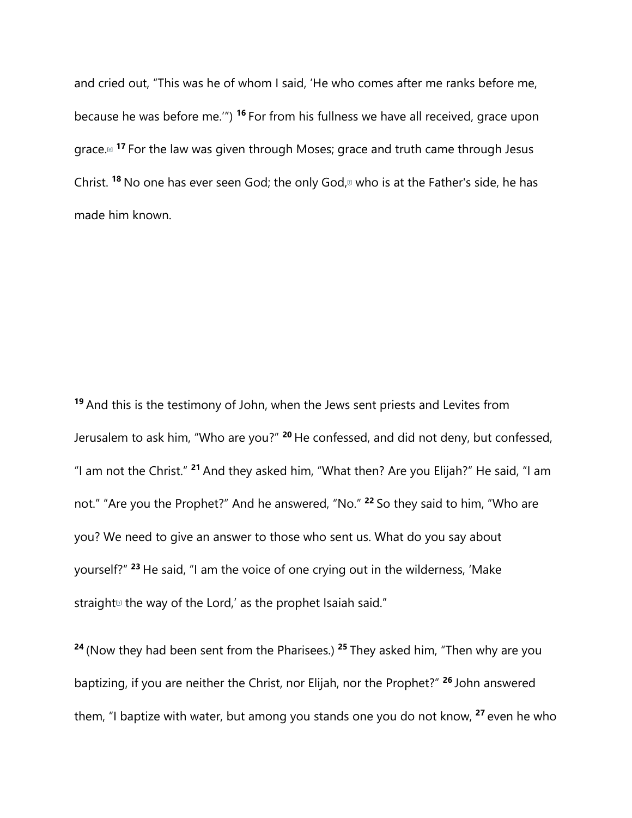and cried out, "This was he of whom I said, 'He who comes after me ranks before me, because he was before me.'") **<sup>16</sup>** For from his fullness we have all received, grace upon grace.[e] **<sup>17</sup>** For the law was given through Moses; grace and truth came through Jesus Christ. <sup>18</sup> No one has ever seen God; the only God,<sup>[1]</sup> who is at the Father's side, he has made him known.

**<sup>19</sup>** And this is the testimony of John, when the Jews sent priests and Levites from Jerusalem to ask him, "Who are you?" **<sup>20</sup>** He confessed, and did not deny, but confessed, "I am not the Christ." **<sup>21</sup>** And they asked him, "What then? Are you Elijah?" He said, "I am not." "Are you the Prophet?" And he answered, "No." **<sup>22</sup>** So they said to him, "Who are you? We need to give an answer to those who sent us. What do you say about yourself?" **<sup>23</sup>** He said, "I am the voice of one crying out in the wilderness, 'Make straight<sup>th</sup> the way of the Lord,' as the prophet Isaiah said."

**<sup>24</sup>** (Now they had been sent from the Pharisees.) **<sup>25</sup>** They asked him, "Then why are you baptizing, if you are neither the Christ, nor Elijah, nor the Prophet?" **<sup>26</sup>** John answered them, "I baptize with water, but among you stands one you do not know, **<sup>27</sup>** even he who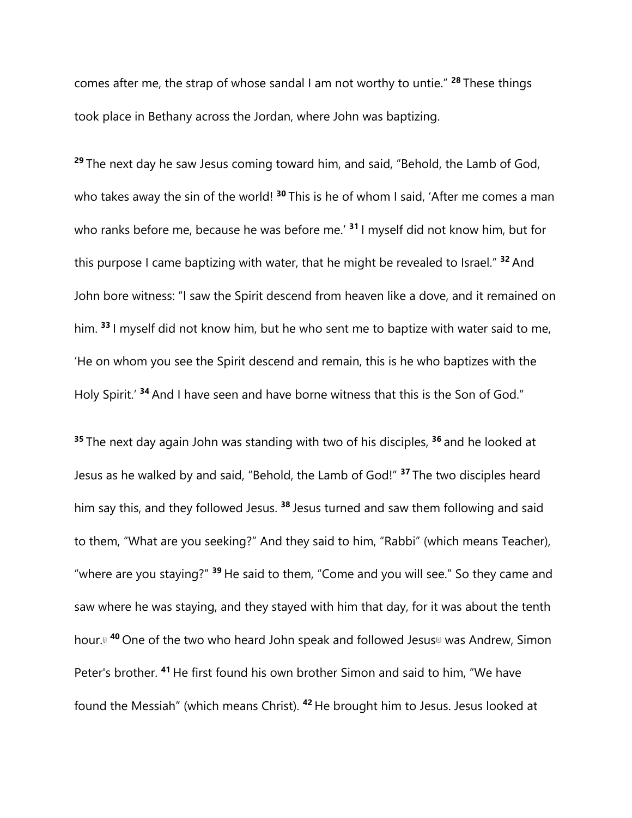comes after me, the strap of whose sandal I am not worthy to untie." **<sup>28</sup>** These things took place in Bethany across the Jordan, where John was baptizing.

**<sup>29</sup>** The next day he saw Jesus coming toward him, and said, "Behold, the Lamb of God, who takes away the sin of the world!<sup>30</sup> This is he of whom I said, 'After me comes a man who ranks before me, because he was before me.' **<sup>31</sup>** I myself did not know him, but for this purpose I came baptizing with water, that he might be revealed to Israel." **<sup>32</sup>** And John bore witness: "I saw the Spirit descend from heaven like a dove, and it remained on him. **<sup>33</sup>** I myself did not know him, but he who sent me to baptize with water said to me, 'He on whom you see the Spirit descend and remain, this is he who baptizes with the Holy Spirit.' **<sup>34</sup>** And I have seen and have borne witness that this is the Son of God."

**<sup>35</sup>** The next day again John was standing with two of his disciples, **<sup>36</sup>** and he looked at Jesus as he walked by and said, "Behold, the Lamb of God!" **<sup>37</sup>** The two disciples heard him say this, and they followed Jesus. **<sup>38</sup>** Jesus turned and saw them following and said to them, "What are you seeking?" And they said to him, "Rabbi" (which means Teacher), "where are you staying?" **<sup>39</sup>** He said to them, "Come and you will see." So they came and saw where he was staying, and they stayed with him that day, for it was about the tenth hour.<sup>[40</sup> One of the two who heard John speak and followed Jesus<sup>[k]</sup> was Andrew, Simon Peter's brother. **<sup>41</sup>** He first found his own brother Simon and said to him, "We have found the Messiah" (which means Christ). **<sup>42</sup>** He brought him to Jesus. Jesus looked at